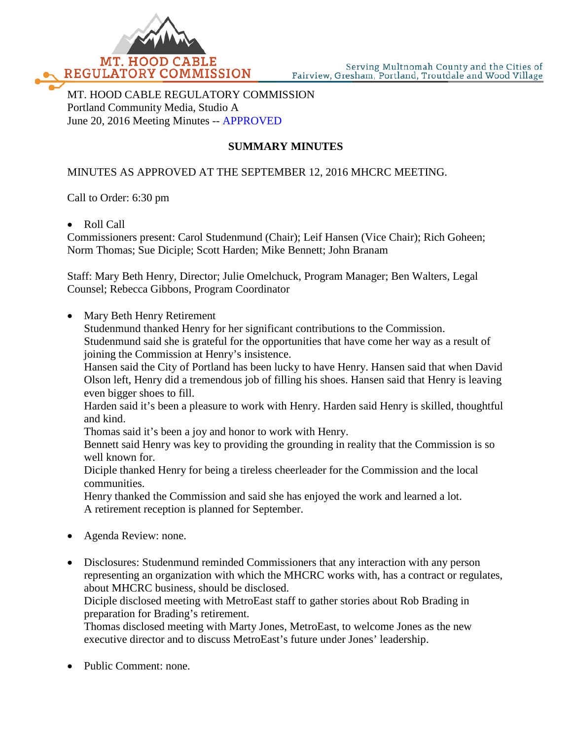

MT. HOOD CABLE REGULATORY COMMISSION Portland Community Media, Studio A June 20, 2016 Meeting Minutes -- APPROVED

# **SUMMARY MINUTES**

## MINUTES AS APPROVED AT THE SEPTEMBER 12, 2016 MHCRC MEETING.

Call to Order: 6:30 pm

• Roll Call

Commissioners present: Carol Studenmund (Chair); Leif Hansen (Vice Chair); Rich Goheen; Norm Thomas; Sue Diciple; Scott Harden; Mike Bennett; John Branam

Staff: Mary Beth Henry, Director; Julie Omelchuck, Program Manager; Ben Walters, Legal Counsel; Rebecca Gibbons, Program Coordinator

• Mary Beth Henry Retirement

Studenmund thanked Henry for her significant contributions to the Commission. Studenmund said she is grateful for the opportunities that have come her way as a result of joining the Commission at Henry's insistence.

Hansen said the City of Portland has been lucky to have Henry. Hansen said that when David Olson left, Henry did a tremendous job of filling his shoes. Hansen said that Henry is leaving even bigger shoes to fill.

Harden said it's been a pleasure to work with Henry. Harden said Henry is skilled, thoughtful and kind.

Thomas said it's been a joy and honor to work with Henry.

Bennett said Henry was key to providing the grounding in reality that the Commission is so well known for.

Diciple thanked Henry for being a tireless cheerleader for the Commission and the local communities.

Henry thanked the Commission and said she has enjoyed the work and learned a lot. A retirement reception is planned for September.

- Agenda Review: none.
- Disclosures: Studenmund reminded Commissioners that any interaction with any person representing an organization with which the MHCRC works with, has a contract or regulates, about MHCRC business, should be disclosed.

Diciple disclosed meeting with MetroEast staff to gather stories about Rob Brading in preparation for Brading's retirement.

Thomas disclosed meeting with Marty Jones, MetroEast, to welcome Jones as the new executive director and to discuss MetroEast's future under Jones' leadership.

Public Comment: none.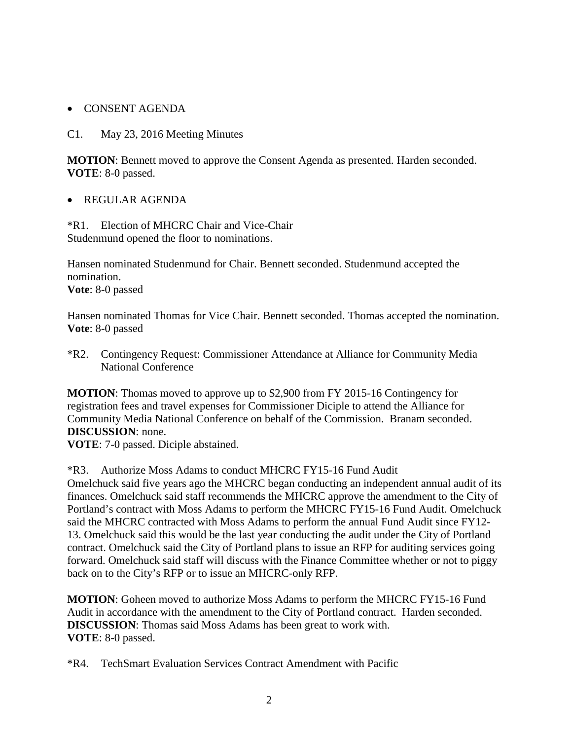## • CONSENT AGENDA

#### C1. May 23, 2016 Meeting Minutes

**MOTION**: Bennett moved to approve the Consent Agenda as presented. Harden seconded. **VOTE**: 8-0 passed.

#### • REGULAR AGENDA

\*R1. Election of MHCRC Chair and Vice-Chair Studenmund opened the floor to nominations.

Hansen nominated Studenmund for Chair. Bennett seconded. Studenmund accepted the nomination.

**Vote**: 8-0 passed

Hansen nominated Thomas for Vice Chair. Bennett seconded. Thomas accepted the nomination. **Vote**: 8-0 passed

\*R2. Contingency Request: Commissioner Attendance at Alliance for Community Media National Conference

**MOTION**: Thomas moved to approve up to \$2,900 from FY 2015-16 Contingency for registration fees and travel expenses for Commissioner Diciple to attend the Alliance for Community Media National Conference on behalf of the Commission. Branam seconded. **DISCUSSION**: none.

**VOTE**: 7-0 passed. Diciple abstained.

\*R3. Authorize Moss Adams to conduct MHCRC FY15-16 Fund Audit

Omelchuck said five years ago the MHCRC began conducting an independent annual audit of its finances. Omelchuck said staff recommends the MHCRC approve the amendment to the City of Portland's contract with Moss Adams to perform the MHCRC FY15-16 Fund Audit. Omelchuck said the MHCRC contracted with Moss Adams to perform the annual Fund Audit since FY12- 13. Omelchuck said this would be the last year conducting the audit under the City of Portland contract. Omelchuck said the City of Portland plans to issue an RFP for auditing services going forward. Omelchuck said staff will discuss with the Finance Committee whether or not to piggy back on to the City's RFP or to issue an MHCRC-only RFP.

**MOTION**: Goheen moved to authorize Moss Adams to perform the MHCRC FY15-16 Fund Audit in accordance with the amendment to the City of Portland contract. Harden seconded. **DISCUSSION**: Thomas said Moss Adams has been great to work with. **VOTE**: 8-0 passed.

\*R4. TechSmart Evaluation Services Contract Amendment with Pacific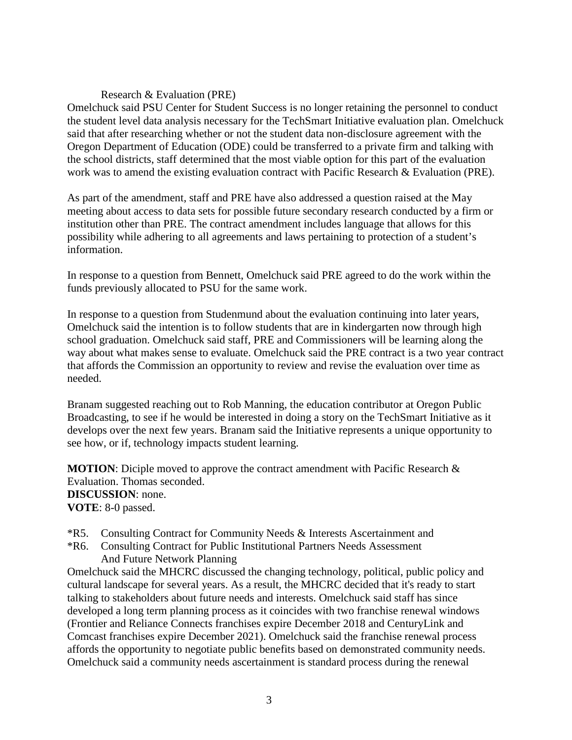### Research & Evaluation (PRE)

Omelchuck said PSU Center for Student Success is no longer retaining the personnel to conduct the student level data analysis necessary for the TechSmart Initiative evaluation plan. Omelchuck said that after researching whether or not the student data non-disclosure agreement with the Oregon Department of Education (ODE) could be transferred to a private firm and talking with the school districts, staff determined that the most viable option for this part of the evaluation work was to amend the existing evaluation contract with Pacific Research & Evaluation (PRE).

As part of the amendment, staff and PRE have also addressed a question raised at the May meeting about access to data sets for possible future secondary research conducted by a firm or institution other than PRE. The contract amendment includes language that allows for this possibility while adhering to all agreements and laws pertaining to protection of a student's information.

In response to a question from Bennett, Omelchuck said PRE agreed to do the work within the funds previously allocated to PSU for the same work.

In response to a question from Studenmund about the evaluation continuing into later years, Omelchuck said the intention is to follow students that are in kindergarten now through high school graduation. Omelchuck said staff, PRE and Commissioners will be learning along the way about what makes sense to evaluate. Omelchuck said the PRE contract is a two year contract that affords the Commission an opportunity to review and revise the evaluation over time as needed.

Branam suggested reaching out to Rob Manning, the education contributor at Oregon Public Broadcasting, to see if he would be interested in doing a story on the TechSmart Initiative as it develops over the next few years. Branam said the Initiative represents a unique opportunity to see how, or if, technology impacts student learning.

**MOTION**: Diciple moved to approve the contract amendment with Pacific Research & Evaluation. Thomas seconded. **DISCUSSION**: none. **VOTE**: 8-0 passed.

- \*R5. Consulting Contract for Community Needs & Interests Ascertainment and
- \*R6. Consulting Contract for Public Institutional Partners Needs Assessment And Future Network Planning

Omelchuck said the MHCRC discussed the changing technology, political, public policy and cultural landscape for several years. As a result, the MHCRC decided that it's ready to start talking to stakeholders about future needs and interests. Omelchuck said staff has since developed a long term planning process as it coincides with two franchise renewal windows (Frontier and Reliance Connects franchises expire December 2018 and CenturyLink and Comcast franchises expire December 2021). Omelchuck said the franchise renewal process affords the opportunity to negotiate public benefits based on demonstrated community needs. Omelchuck said a community needs ascertainment is standard process during the renewal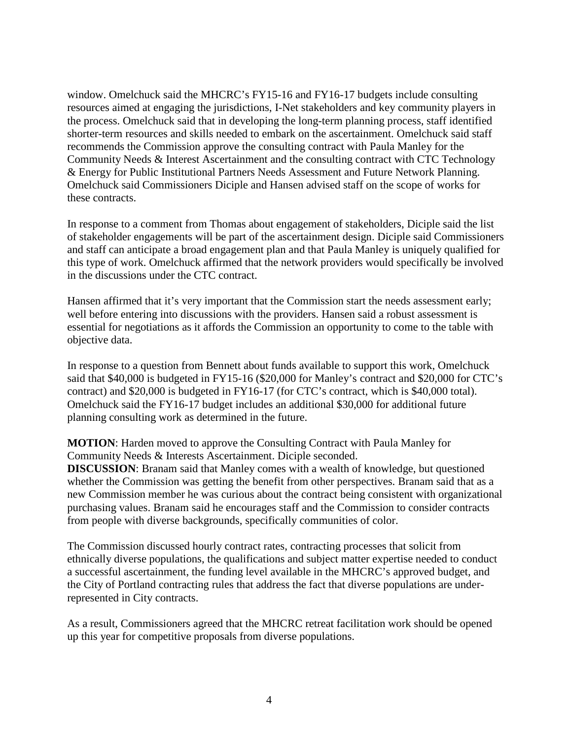window. Omelchuck said the MHCRC's FY15-16 and FY16-17 budgets include consulting resources aimed at engaging the jurisdictions, I-Net stakeholders and key community players in the process. Omelchuck said that in developing the long-term planning process, staff identified shorter-term resources and skills needed to embark on the ascertainment. Omelchuck said staff recommends the Commission approve the consulting contract with Paula Manley for the Community Needs & Interest Ascertainment and the consulting contract with CTC Technology & Energy for Public Institutional Partners Needs Assessment and Future Network Planning. Omelchuck said Commissioners Diciple and Hansen advised staff on the scope of works for these contracts.

In response to a comment from Thomas about engagement of stakeholders, Diciple said the list of stakeholder engagements will be part of the ascertainment design. Diciple said Commissioners and staff can anticipate a broad engagement plan and that Paula Manley is uniquely qualified for this type of work. Omelchuck affirmed that the network providers would specifically be involved in the discussions under the CTC contract.

Hansen affirmed that it's very important that the Commission start the needs assessment early; well before entering into discussions with the providers. Hansen said a robust assessment is essential for negotiations as it affords the Commission an opportunity to come to the table with objective data.

In response to a question from Bennett about funds available to support this work, Omelchuck said that \$40,000 is budgeted in FY15-16 (\$20,000 for Manley's contract and \$20,000 for CTC's contract) and \$20,000 is budgeted in FY16-17 (for CTC's contract, which is \$40,000 total). Omelchuck said the FY16-17 budget includes an additional \$30,000 for additional future planning consulting work as determined in the future.

**MOTION**: Harden moved to approve the Consulting Contract with Paula Manley for Community Needs & Interests Ascertainment. Diciple seconded.

**DISCUSSION:** Branam said that Manley comes with a wealth of knowledge, but questioned whether the Commission was getting the benefit from other perspectives. Branam said that as a new Commission member he was curious about the contract being consistent with organizational purchasing values. Branam said he encourages staff and the Commission to consider contracts from people with diverse backgrounds, specifically communities of color.

The Commission discussed hourly contract rates, contracting processes that solicit from ethnically diverse populations, the qualifications and subject matter expertise needed to conduct a successful ascertainment, the funding level available in the MHCRC's approved budget, and the City of Portland contracting rules that address the fact that diverse populations are underrepresented in City contracts.

As a result, Commissioners agreed that the MHCRC retreat facilitation work should be opened up this year for competitive proposals from diverse populations.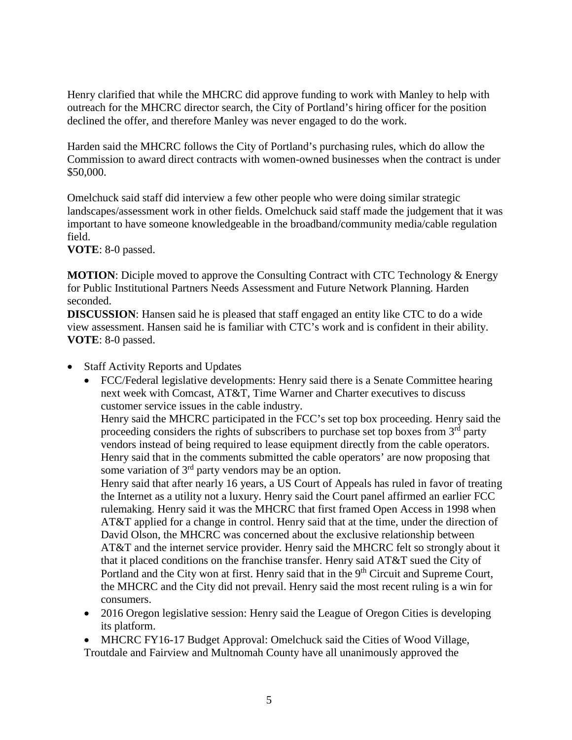Henry clarified that while the MHCRC did approve funding to work with Manley to help with outreach for the MHCRC director search, the City of Portland's hiring officer for the position declined the offer, and therefore Manley was never engaged to do the work.

Harden said the MHCRC follows the City of Portland's purchasing rules, which do allow the Commission to award direct contracts with women-owned businesses when the contract is under \$50,000.

Omelchuck said staff did interview a few other people who were doing similar strategic landscapes/assessment work in other fields. Omelchuck said staff made the judgement that it was important to have someone knowledgeable in the broadband/community media/cable regulation field.

**VOTE**: 8-0 passed.

**MOTION**: Diciple moved to approve the Consulting Contract with CTC Technology & Energy for Public Institutional Partners Needs Assessment and Future Network Planning. Harden seconded.

**DISCUSSION**: Hansen said he is pleased that staff engaged an entity like CTC to do a wide view assessment. Hansen said he is familiar with CTC's work and is confident in their ability. **VOTE**: 8-0 passed.

- Staff Activity Reports and Updates
	- FCC/Federal legislative developments: Henry said there is a Senate Committee hearing next week with Comcast, AT&T, Time Warner and Charter executives to discuss customer service issues in the cable industry.

Henry said the MHCRC participated in the FCC's set top box proceeding. Henry said the proceeding considers the rights of subscribers to purchase set top boxes from  $3<sup>rd</sup>$  party vendors instead of being required to lease equipment directly from the cable operators. Henry said that in the comments submitted the cable operators' are now proposing that some variation of 3<sup>rd</sup> party vendors may be an option.

Henry said that after nearly 16 years, a US Court of Appeals has ruled in favor of treating the Internet as a utility not a luxury. Henry said the Court panel affirmed an earlier FCC rulemaking. Henry said it was the MHCRC that first framed Open Access in 1998 when AT&T applied for a change in control. Henry said that at the time, under the direction of David Olson, the MHCRC was concerned about the exclusive relationship between AT&T and the internet service provider. Henry said the MHCRC felt so strongly about it that it placed conditions on the franchise transfer. Henry said AT&T sued the City of Portland and the City won at first. Henry said that in the 9<sup>th</sup> Circuit and Supreme Court, the MHCRC and the City did not prevail. Henry said the most recent ruling is a win for consumers.

• 2016 Oregon legislative session: Henry said the League of Oregon Cities is developing its platform.

• MHCRC FY16-17 Budget Approval: Omelchuck said the Cities of Wood Village, Troutdale and Fairview and Multnomah County have all unanimously approved the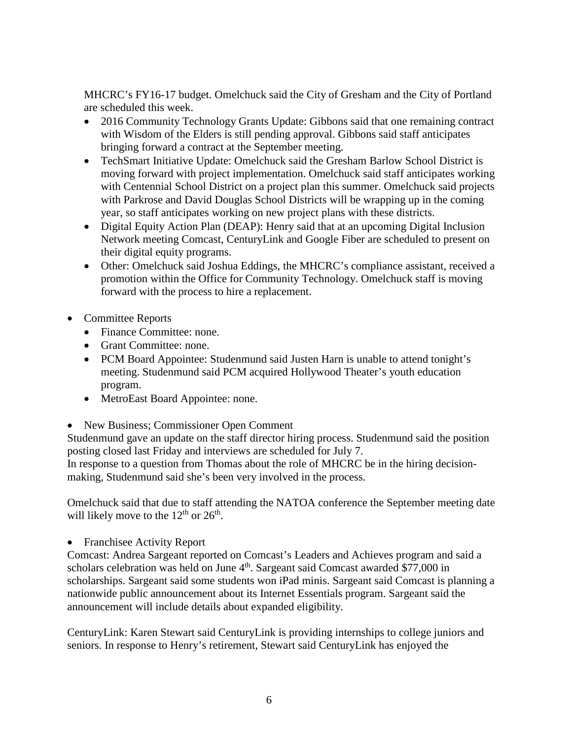MHCRC's FY16-17 budget. Omelchuck said the City of Gresham and the City of Portland are scheduled this week.

- 2016 Community Technology Grants Update: Gibbons said that one remaining contract with Wisdom of the Elders is still pending approval. Gibbons said staff anticipates bringing forward a contract at the September meeting.
- TechSmart Initiative Update: Omelchuck said the Gresham Barlow School District is moving forward with project implementation. Omelchuck said staff anticipates working with Centennial School District on a project plan this summer. Omelchuck said projects with Parkrose and David Douglas School Districts will be wrapping up in the coming year, so staff anticipates working on new project plans with these districts.
- Digital Equity Action Plan (DEAP): Henry said that at an upcoming Digital Inclusion Network meeting Comcast, CenturyLink and Google Fiber are scheduled to present on their digital equity programs.
- Other: Omelchuck said Joshua Eddings, the MHCRC's compliance assistant, received a promotion within the Office for Community Technology. Omelchuck staff is moving forward with the process to hire a replacement.
- Committee Reports
	- Finance Committee: none.
	- Grant Committee: none.
	- PCM Board Appointee: Studenmund said Justen Harn is unable to attend tonight's meeting. Studenmund said PCM acquired Hollywood Theater's youth education program.
	- MetroEast Board Appointee: none.
- New Business; Commissioner Open Comment

Studenmund gave an update on the staff director hiring process. Studenmund said the position posting closed last Friday and interviews are scheduled for July 7.

In response to a question from Thomas about the role of MHCRC be in the hiring decisionmaking, Studenmund said she's been very involved in the process.

Omelchuck said that due to staff attending the NATOA conference the September meeting date will likely move to the  $12<sup>th</sup>$  or  $26<sup>th</sup>$ .

• Franchisee Activity Report

Comcast: Andrea Sargeant reported on Comcast's Leaders and Achieves program and said a scholars celebration was held on June 4<sup>th</sup>. Sargeant said Comcast awarded \$77,000 in scholarships. Sargeant said some students won iPad minis. Sargeant said Comcast is planning a nationwide public announcement about its Internet Essentials program. Sargeant said the announcement will include details about expanded eligibility.

CenturyLink: Karen Stewart said CenturyLink is providing internships to college juniors and seniors. In response to Henry's retirement, Stewart said CenturyLink has enjoyed the